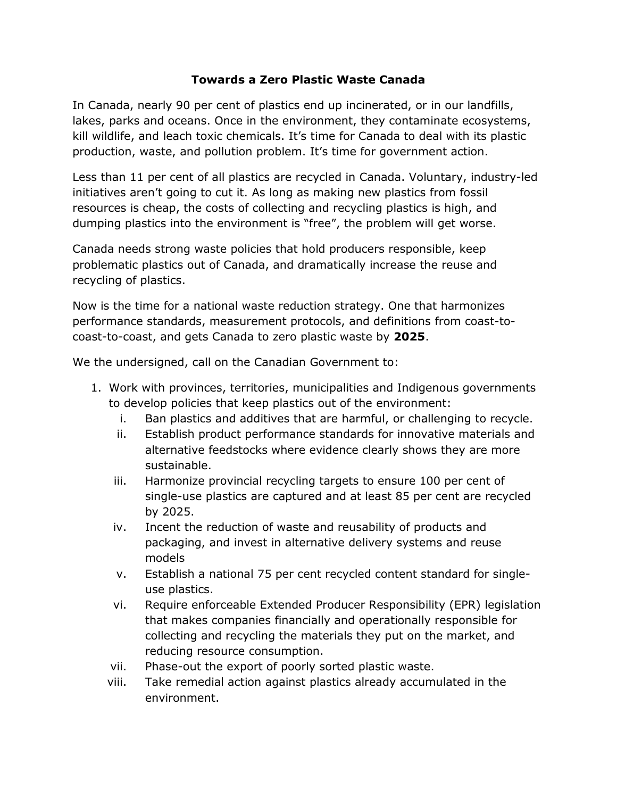## **Towards a Zero Plastic Waste Canada**

In Canada, nearly 90 per cent of plastics end up incinerated, or in our landfills, lakes, parks and oceans. Once in the environment, they contaminate ecosystems, kill wildlife, and leach toxic chemicals. It's time for Canada to deal with its plastic production, waste, and pollution problem. It's time for government action.

Less than 11 per cent of all plastics are recycled in Canada. Voluntary, industry-led initiatives aren't going to cut it. As long as making new plastics from fossil resources is cheap, the costs of collecting and recycling plastics is high, and dumping plastics into the environment is "free", the problem will get worse.

Canada needs strong waste policies that hold producers responsible, keep problematic plastics out of Canada, and dramatically increase the reuse and recycling of plastics.

Now is the time for a national waste reduction strategy. One that harmonizes performance standards, measurement protocols, and definitions from coast-tocoast-to-coast, and gets Canada to zero plastic waste by **2025**.

We the undersigned, call on the Canadian Government to:

- 1. Work with provinces, territories, municipalities and Indigenous governments to develop policies that keep plastics out of the environment:
	- i. Ban plastics and additives that are harmful, or challenging to recycle.
	- ii. Establish product performance standards for innovative materials and alternative feedstocks where evidence clearly shows they are more sustainable.
	- iii. Harmonize provincial recycling targets to ensure 100 per cent of single-use plastics are captured and at least 85 per cent are recycled by 2025.
	- iv. Incent the reduction of waste and reusability of products and packaging, and invest in alternative delivery systems and reuse models
	- v. Establish a national 75 per cent recycled content standard for singleuse plastics.
	- vi. Require enforceable Extended Producer Responsibility (EPR) legislation that makes companies financially and operationally responsible for collecting and recycling the materials they put on the market, and reducing resource consumption.
	- vii. Phase-out the export of poorly sorted plastic waste.
	- viii. Take remedial action against plastics already accumulated in the environment.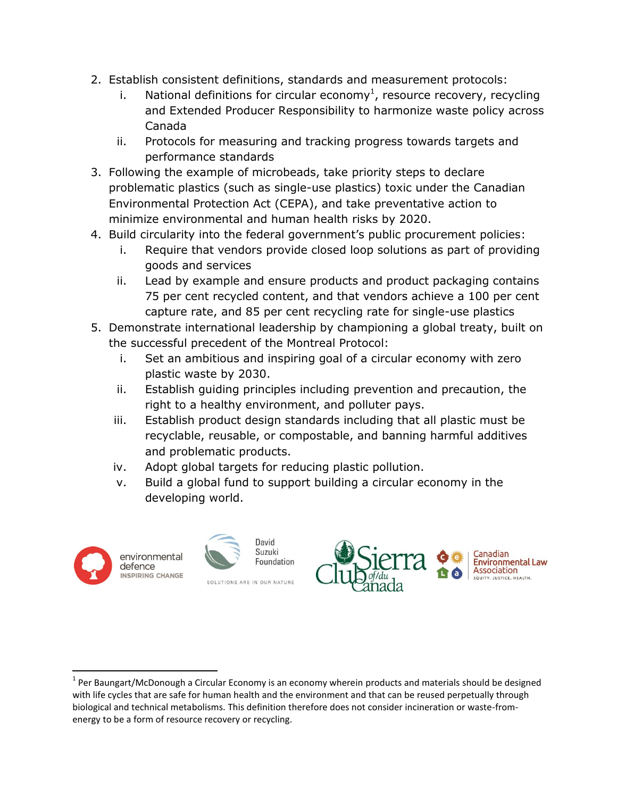- 2. Establish consistent definitions, standards and measurement protocols:
	- i. National definitions for circular economy<sup>1</sup>, resource recovery, recycling and Extended Producer Responsibility to harmonize waste policy across Canada
	- ii. Protocols for measuring and tracking progress towards targets and performance standards
- 3. Following the example of microbeads, take priority steps to declare problematic plastics (such as single-use plastics) toxic under the Canadian Environmental Protection Act (CEPA), and take preventative action to minimize environmental and human health risks by 2020.
- 4. Build circularity into the federal government's public procurement policies:
	- i. Require that vendors provide closed loop solutions as part of providing goods and services
	- ii. Lead by example and ensure products and product packaging contains 75 per cent recycled content, and that vendors achieve a 100 per cent capture rate, and 85 per cent recycling rate for single-use plastics
- 5. Demonstrate international leadership by championing a global treaty, built on the successful precedent of the Montreal Protocol:
	- i. Set an ambitious and inspiring goal of a circular economy with zero plastic waste by 2030.
	- ii. Establish guiding principles including prevention and precaution, the right to a healthy environment, and polluter pays.
	- iii. Establish product design standards including that all plastic must be recyclable, reusable, or compostable, and banning harmful additives and problematic products.
	- iv. Adopt global targets for reducing plastic pollution.
	- v. Build a global fund to support building a circular economy in the developing world.



 $\overline{a}$ 





 $1$  Per Baungart/McDonough a Circular Economy is an economy wherein products and materials should be designed with life cycles that are safe for human health and the environment and that can be reused perpetually through biological and technical metabolisms. This definition therefore does not consider incineration or waste-fromenergy to be a form of resource recovery or recycling.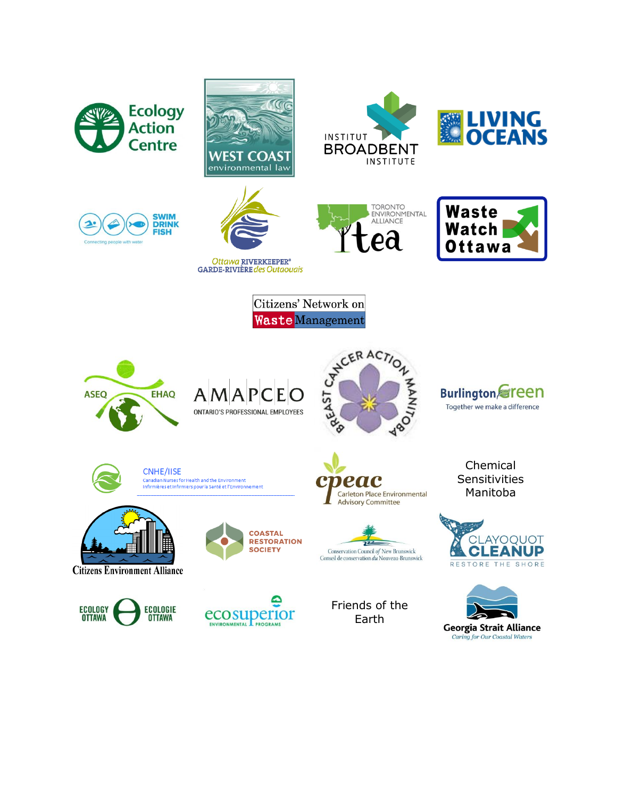











Ottawa RIVERKEEPER® **GARDE-RIVIÈRE** des Outaouais





Citizens' Network on **Waste Management** 











**CNHE/IISE** Canadian Nurses for Health and the Environment Infirmières et Infirmiers pour la Santé et l'Environnement



**Citizens Environment Alliance** 







veac Carleton Place Environmental **Advisory Committee** 



Friends of the Earth